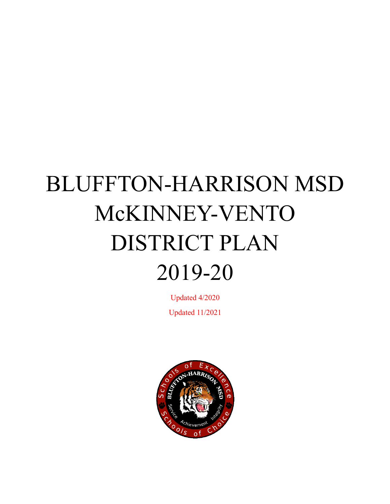# BLUFFTON-HARRISON MSD McKINNEY-VENTO DISTRICT PLAN 2019-20

Updated 4/2020 Updated 11/2021

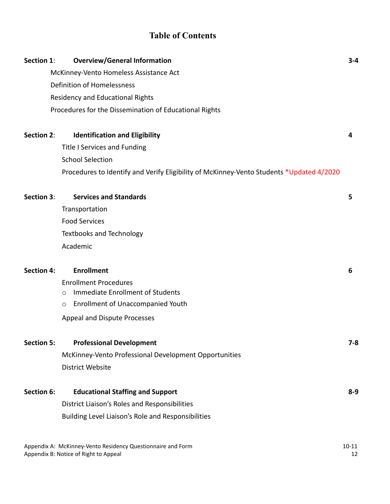# **Table of Contents**

| Section 1:                                                  | <b>Overview/General Information</b>                                                      | $3 - 4$   |
|-------------------------------------------------------------|------------------------------------------------------------------------------------------|-----------|
| McKinney-Vento Homeless Assistance Act                      |                                                                                          |           |
|                                                             | <b>Definition of Homelessness</b>                                                        |           |
|                                                             | Residency and Educational Rights                                                         |           |
|                                                             | Procedures for the Dissemination of Educational Rights                                   |           |
|                                                             |                                                                                          |           |
| <b>Section 2:</b>                                           | <b>Identification and Eligibility</b>                                                    | 4         |
|                                                             | <b>Title I Services and Funding</b>                                                      |           |
|                                                             | <b>School Selection</b>                                                                  |           |
|                                                             | Procedures to Identify and Verify Eligibility of McKinney-Vento Students *Updated 4/2020 |           |
| Section 3:                                                  | <b>Services and Standards</b>                                                            | 5         |
|                                                             | Transportation                                                                           |           |
|                                                             | <b>Food Services</b>                                                                     |           |
|                                                             | <b>Textbooks and Technology</b>                                                          |           |
|                                                             | Academic                                                                                 |           |
|                                                             |                                                                                          |           |
| <b>Section 4:</b>                                           | <b>Enrollment</b>                                                                        | 6         |
|                                                             | <b>Enrollment Procedures</b>                                                             |           |
|                                                             | Immediate Enrollment of Students<br>$\circ$                                              |           |
|                                                             | <b>Enrollment of Unaccompanied Youth</b><br>O                                            |           |
|                                                             | Appeal and Dispute Processes                                                             |           |
| <b>Section 5:</b>                                           | <b>Professional Development</b>                                                          | $7 - 8$   |
|                                                             | McKinney-Vento Professional Development Opportunities                                    |           |
|                                                             | District Website                                                                         |           |
|                                                             |                                                                                          |           |
| <b>Section 6:</b>                                           | <b>Educational Staffing and Support</b>                                                  | $8 - 9$   |
|                                                             | District Liaison's Roles and Responsibilities                                            |           |
|                                                             | Building Level Liaison's Role and Responsibilities                                       |           |
| Appendix A: McKinney-Vento Residency Questionnaire and Form |                                                                                          | $10 - 11$ |

Appendix B: Notice of Right to Appeal 12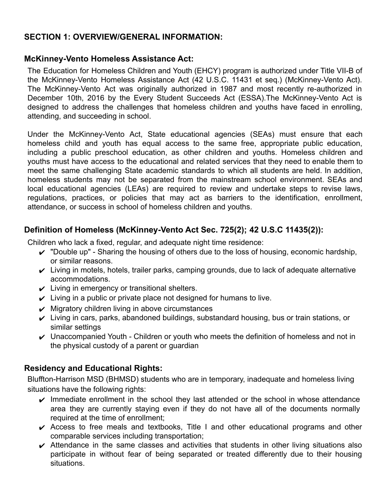## **SECTION 1: OVERVIEW/GENERAL INFORMATION:**

#### **McKinney-Vento Homeless Assistance Act:**

The Education for Homeless Children and Youth (EHCY) program is authorized under Title VII-B of the McKinney-Vento Homeless Assistance Act (42 U.S.C. 11431 et seq.) (McKinney-Vento Act). The McKinney-Vento Act was originally authorized in 1987 and most recently re-authorized in December 10th, 2016 by the Every Student Succeeds Act (ESSA).The McKinney-Vento Act is designed to address the challenges that homeless children and youths have faced in enrolling, attending, and succeeding in school.

Under the McKinney-Vento Act, State educational agencies (SEAs) must ensure that each homeless child and youth has equal access to the same free, appropriate public education, including a public preschool education, as other children and youths. Homeless children and youths must have access to the educational and related services that they need to enable them to meet the same challenging State academic standards to which all students are held. In addition, homeless students may not be separated from the mainstream school environment. SEAs and local educational agencies (LEAs) are required to review and undertake steps to revise laws, regulations, practices, or policies that may act as barriers to the identification, enrollment, attendance, or success in school of homeless children and youths.

## **Definition of Homeless (McKinney-Vento Act Sec. 725(2); 42 U.S.C 11435(2)):**

Children who lack a fixed, regular, and adequate night time residence:

- $\checkmark$  "Double up" Sharing the housing of others due to the loss of housing, economic hardship, or similar reasons.
- $\checkmark$  Living in motels, hotels, trailer parks, camping grounds, due to lack of adequate alternative accommodations.
- $\boldsymbol{\nu}$  Living in emergency or transitional shelters.
- $\checkmark$  Living in a public or private place not designed for humans to live.
- $\boldsymbol{\nu}$  Migratory children living in above circumstances
- $\checkmark$  Living in cars, parks, abandoned buildings, substandard housing, bus or train stations, or similar settings
- $\vee$  Unaccompanied Youth Children or youth who meets the definition of homeless and not in the physical custody of a parent or guardian

## **Residency and Educational Rights:**

Bluffton-Harrison MSD (BHMSD) students who are in temporary, inadequate and homeless living situations have the following rights:

- $\triangleright$  Immediate enrollment in the school they last attended or the school in whose attendance area they are currently staying even if they do not have all of the documents normally required at the time of enrollment;
- $\vee$  Access to free meals and textbooks, Title I and other educational programs and other comparable services including transportation;
- $\boldsymbol{\nu}$  Attendance in the same classes and activities that students in other living situations also participate in without fear of being separated or treated differently due to their housing situations.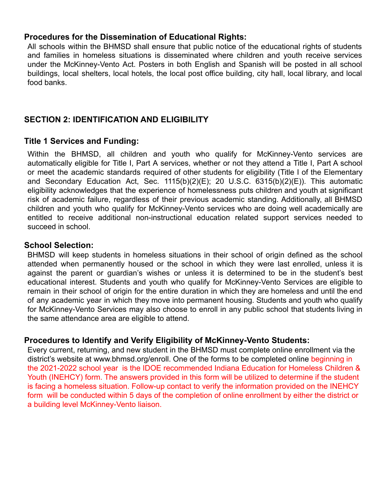## **Procedures for the Dissemination of Educational Rights:**

All schools within the BHMSD shall ensure that public notice of the educational rights of students and families in homeless situations is disseminated where children and youth receive services under the McKinney-Vento Act. Posters in both English and Spanish will be posted in all school buildings, local shelters, local hotels, the local post office building, city hall, local library, and local food banks.

## **SECTION 2: IDENTIFICATION AND ELIGIBILITY**

#### **Title 1 Services and Funding:**

Within the BHMSD, all children and youth who qualify for McKinney-Vento services are automatically eligible for Title I, Part A services, whether or not they attend a Title I, Part A school or meet the academic standards required of other students for eligibility (Title I of the Elementary and Secondary Education Act, Sec. 1115(b)(2)(E); 20 U.S.C. 6315(b)(2)(E)). This automatic eligibility acknowledges that the experience of homelessness puts children and youth at significant risk of academic failure, regardless of their previous academic standing. Additionally, all BHMSD children and youth who qualify for McKinney-Vento services who are doing well academically are entitled to receive additional non-instructional education related support services needed to succeed in school.

#### **School Selection:**

BHMSD will keep students in homeless situations in their school of origin defined as the school attended when permanently housed or the school in which they were last enrolled, unless it is against the parent or guardian's wishes or unless it is determined to be in the student's best educational interest. Students and youth who qualify for McKinney-Vento Services are eligible to remain in their school of origin for the entire duration in which they are homeless and until the end of any academic year in which they move into permanent housing. Students and youth who qualify for McKinney-Vento Services may also choose to enroll in any public school that students living in the same attendance area are eligible to attend.

#### **Procedures to Identify and Verify Eligibility of McKinney-Vento Students:**

Every current, returning, and new student in the BHMSD must complete online enrollment via the district's website at www.bhmsd.org/enroll. One of the forms to be completed online beginning in the 2021-2022 school year is the IDOE recommended Indiana Education for Homeless Children & Youth (INEHCY) form. The answers provided in this form will be utilized to determine if the student is facing a homeless situation. Follow-up contact to verify the information provided on the INEHCY form will be conducted within 5 days of the completion of online enrollment by either the district or a building level McKinney-Vento liaison.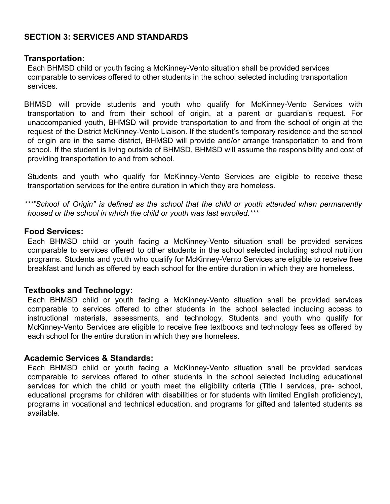## **SECTION 3: SERVICES AND STANDARDS**

#### **Transportation:**

Each BHMSD child or youth facing a McKinney-Vento situation shall be provided services comparable to services offered to other students in the school selected including transportation services.

BHMSD will provide students and youth who qualify for McKinney-Vento Services with transportation to and from their school of origin, at a parent or guardian's request. For unaccompanied youth, BHMSD will provide transportation to and from the school of origin at the request of the District McKinney-Vento Liaison. If the student's temporary residence and the school of origin are in the same district, BHMSD will provide and/or arrange transportation to and from school. If the student is living outside of BHMSD, BHMSD will assume the responsibility and cost of providing transportation to and from school.

Students and youth who qualify for McKinney-Vento Services are eligible to receive these transportation services for the entire duration in which they are homeless.

*\*\*\*"School of Origin" is defined as the school that the child or youth attended when permanently housed or the school in which the child or youth was last enrolled.\*\*\**

#### **Food Services:**

Each BHMSD child or youth facing a McKinney-Vento situation shall be provided services comparable to services offered to other students in the school selected including school nutrition programs. Students and youth who qualify for McKinney-Vento Services are eligible to receive free breakfast and lunch as offered by each school for the entire duration in which they are homeless.

#### **Textbooks and Technology:**

Each BHMSD child or youth facing a McKinney-Vento situation shall be provided services comparable to services offered to other students in the school selected including access to instructional materials, assessments, and technology. Students and youth who qualify for McKinney-Vento Services are eligible to receive free textbooks and technology fees as offered by each school for the entire duration in which they are homeless.

#### **Academic Services & Standards:**

Each BHMSD child or youth facing a McKinney-Vento situation shall be provided services comparable to services offered to other students in the school selected including educational services for which the child or youth meet the eligibility criteria (Title I services, pre- school, educational programs for children with disabilities or for students with limited English proficiency), programs in vocational and technical education, and programs for gifted and talented students as available.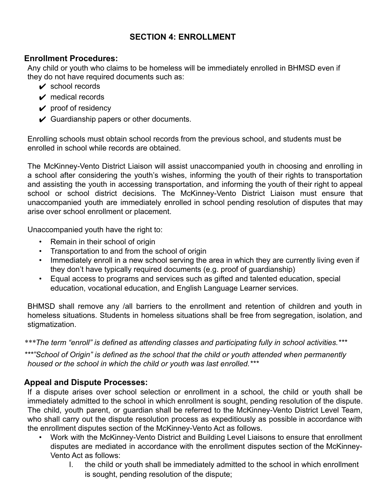## **SECTION 4: ENROLLMENT**

## **Enrollment Procedures:**

Any child or youth who claims to be homeless will be immediately enrolled in BHMSD even if they do not have required documents such as:

- $\vee$  school records
- $\vee$  medical records
- $\vee$  proof of residency
- $\checkmark$  Guardianship papers or other documents.

Enrolling schools must obtain school records from the previous school, and students must be enrolled in school while records are obtained.

The McKinney-Vento District Liaison will assist unaccompanied youth in choosing and enrolling in a school after considering the youth's wishes, informing the youth of their rights to transportation and assisting the youth in accessing transportation, and informing the youth of their right to appeal school or school district decisions. The McKinney-Vento District Liaison must ensure that unaccompanied youth are immediately enrolled in school pending resolution of disputes that may arise over school enrollment or placement.

Unaccompanied youth have the right to:

- Remain in their school of origin
- Transportation to and from the school of origin
- Immediately enroll in a new school serving the area in which they are currently living even if they don't have typically required documents (e.g. proof of guardianship)
- Equal access to programs and services such as gifted and talented education, special education, vocational education, and English Language Learner services.

BHMSD shall remove any /all barriers to the enrollment and retention of children and youth in homeless situations. Students in homeless situations shall be free from segregation, isolation, and stigmatization.

*\*\*\*The term "enroll" is defined as attending classes and participating fully in school activities.\*\*\**

*\*\*\*"School of Origin" is defined as the school that the child or youth attended when permanently housed or the school in which the child or youth was last enrolled.\*\*\**

## **Appeal and Dispute Processes:**

If a dispute arises over school selection or enrollment in a school, the child or youth shall be immediately admitted to the school in which enrollment is sought, pending resolution of the dispute. The child, youth parent, or guardian shall be referred to the McKinney-Vento District Level Team, who shall carry out the dispute resolution process as expeditiously as possible in accordance with the enrollment disputes section of the McKinney-Vento Act as follows.

- Work with the McKinney-Vento District and Building Level Liaisons to ensure that enrollment disputes are mediated in accordance with the enrollment disputes section of the McKinney-Vento Act as follows:
	- I. the child or youth shall be immediately admitted to the school in which enrollment is sought, pending resolution of the dispute;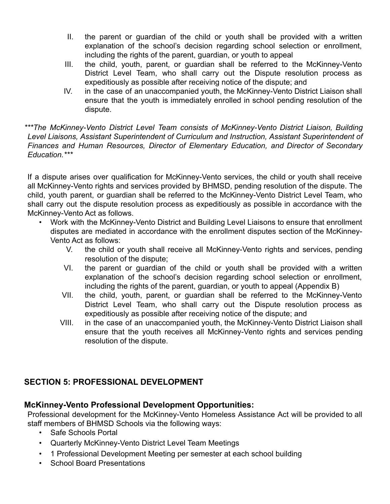- II. the parent or guardian of the child or youth shall be provided with a written explanation of the school's decision regarding school selection or enrollment, including the rights of the parent, guardian, or youth to appeal
- III. the child, youth, parent, or guardian shall be referred to the McKinney-Vento District Level Team, who shall carry out the Dispute resolution process as expeditiously as possible after receiving notice of the dispute; and
- IV. in the case of an unaccompanied youth, the McKinney-Vento District Liaison shall ensure that the youth is immediately enrolled in school pending resolution of the dispute.

*\*\*\*The McKinney-Vento District Level Team consists of McKinney-Vento District Liaison, Building Level Liaisons, Assistant Superintendent of Curriculum and Instruction, Assistant Superintendent of Finances and Human Resources, Director of Elementary Education, and Director of Secondary Education.\*\*\**

If a dispute arises over qualification for McKinney-Vento services, the child or youth shall receive all McKinney-Vento rights and services provided by BHMSD, pending resolution of the dispute. The child, youth parent, or guardian shall be referred to the McKinney-Vento District Level Team, who shall carry out the dispute resolution process as expeditiously as possible in accordance with the McKinney-Vento Act as follows.

- Work with the McKinney-Vento District and Building Level Liaisons to ensure that enrollment disputes are mediated in accordance with the enrollment disputes section of the McKinney-Vento Act as follows:
	- V. the child or youth shall receive all McKinney-Vento rights and services, pending resolution of the dispute;
	- VI. the parent or guardian of the child or youth shall be provided with a written explanation of the school's decision regarding school selection or enrollment, including the rights of the parent, guardian, or youth to appeal (Appendix B)
	- VII. the child, youth, parent, or guardian shall be referred to the McKinney-Vento District Level Team, who shall carry out the Dispute resolution process as expeditiously as possible after receiving notice of the dispute; and
	- VIII. in the case of an unaccompanied youth, the McKinney-Vento District Liaison shall ensure that the youth receives all McKinney-Vento rights and services pending resolution of the dispute.

# **SECTION 5: PROFESSIONAL DEVELOPMENT**

# **McKinney-Vento Professional Development Opportunities:**

Professional development for the McKinney-Vento Homeless Assistance Act will be provided to all staff members of BHMSD Schools via the following ways:

- Safe Schools Portal
- Quarterly McKinney-Vento District Level Team Meetings
- 1 Professional Development Meeting per semester at each school building
- School Board Presentations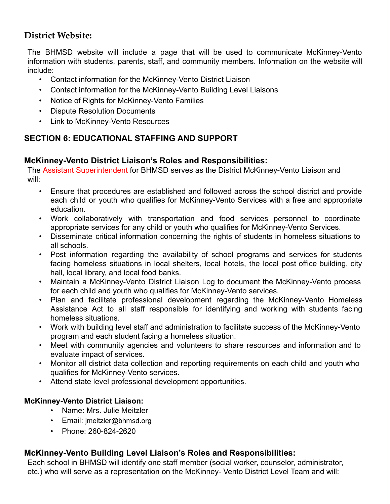## **District Website:**

The BHMSD website will include a page that will be used to communicate McKinney-Vento information with students, parents, staff, and community members. Information on the website will include:

- Contact information for the McKinney-Vento District Liaison
- Contact information for the McKinney-Vento Building Level Liaisons
- Notice of Rights for McKinney-Vento Families
- Dispute Resolution Documents
- Link to McKinney-Vento Resources

## **SECTION 6: EDUCATIONAL STAFFING AND SUPPORT**

## **McKinney-Vento District Liaison's Roles and Responsibilities:**

The Assistant Superintendent for BHMSD serves as the District McKinney-Vento Liaison and will:

- Ensure that procedures are established and followed across the school district and provide each child or youth who qualifies for McKinney-Vento Services with a free and appropriate education.
- Work collaboratively with transportation and food services personnel to coordinate appropriate services for any child or youth who qualifies for McKinney-Vento Services.
- Disseminate critical information concerning the rights of students in homeless situations to all schools.
- Post information regarding the availability of school programs and services for students facing homeless situations in local shelters, local hotels, the local post office building, city hall, local library, and local food banks.
- Maintain a McKinney-Vento District Liaison Log to document the McKinney-Vento process for each child and youth who qualifies for McKinney-Vento services.
- Plan and facilitate professional development regarding the McKinney-Vento Homeless Assistance Act to all staff responsible for identifying and working with students facing homeless situations.
- Work with building level staff and administration to facilitate success of the McKinney-Vento program and each student facing a homeless situation.
- Meet with community agencies and volunteers to share resources and information and to evaluate impact of services.
- Monitor all district data collection and reporting requirements on each child and youth who qualifies for McKinney-Vento services.
- Attend state level professional development opportunities.

#### **McKinney-Vento District Liaison:**

- Name: Mrs. Julie Meitzler
- [Email:](mailto:mstory@bgcs.k12.in.us) jmeitzler@bhmsd.org
- Phone: 260-824-2620

## **McKinney-Vento Building Level Liaison's Roles and Responsibilities:**

Each school in BHMSD will identify one staff member (social worker, counselor, administrator, etc.) who will serve as a representation on the McKinney- Vento District Level Team and will: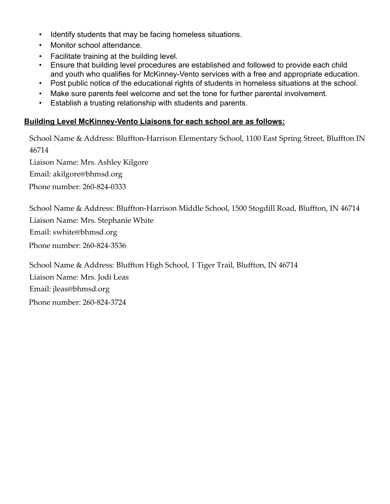- Identify students that may be facing homeless situations.
- Monitor school attendance.
- Facilitate training at the building level.
- Ensure that building level procedures are established and followed to provide each child and youth who qualifies for McKinney-Vento services with a free and appropriate education.
- Post public notice of the educational rights of students in homeless situations at the school.
- Make sure parents feel welcome and set the tone for further parental involvement.
- Establish a trusting relationship with students and parents.

#### **Building Level McKinney-Vento Liaisons for each school are as follows:**

School Name [& Address:](mailto:aparker@bgcs.k12.in.us) Bluffton-Harrison Elementary School, 1100 East Spring Street, Bluffton IN 46714 Liaison Name: Mrs. Ashley Kilgore Email: akilgore@bhmsd.org Phone number: 260-824-0333

School Name [& Address:](mailto:aparker@bgcs.k12.in.us) Bluffton-Harrison Middle School, 1500 Stogdill Road, Bluffton, IN 46714 Liaison Name: Mrs. Stephanie White Email: swhite@bhmsd.org Phone number: 260-824-3536

School Name [& Address:](mailto:aparker@bgcs.k12.in.us) Bluffton High School, 1 Tiger Trail, Bluffton, IN 46714 Liaison Name: Mrs. Jodi Leas Email: jleas@bhmsd.org Phone number: 260-824-3724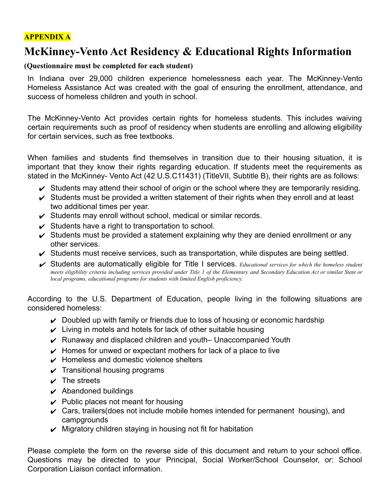## **APPENDIX A**

# **McKinney-Vento Act Residency & Educational Rights Information**

#### **(Questionnaire must be completed for each student)**

In Indiana over 29,000 children experience homelessness each year. The McKinney-Vento Homeless Assistance Act was created with the goal of ensuring the enrollment, attendance, and success of homeless children and youth in school.

The McKinney-Vento Act provides certain rights for homeless students. This includes waiving certain requirements such as proof of residency when students are enrolling and allowing eligibility for certain services, such as free textbooks.

When families and students find themselves in transition due to their housing situation, it is important that they know their rights regarding education. If students meet the requirements as stated in the McKinney- Vento Act (42 U.S.C11431) (TitleVII, Subtitle B), their rights are as follows:

- $\checkmark$  Students may attend their school of origin or the school where they are temporarily residing.
- $\checkmark$  Students must be provided a written statement of their rights when they enroll and at least two additional times per year.
- $\checkmark$  Students may enroll without school, medical or similar records.
- $\checkmark$  Students have a right to transportation to school.
- $\checkmark$  Students must be provided a statement explaining why they are denied enrollment or any other services.
- $\checkmark$  Students must receive services, such as transportation, while disputes are being settled.
- ✔ Students are automatically eligible for Title I services. *Educational services for which the homeless student* meets eligibility criteria including services provided under Title 1 of the Elementary and Secondary Education Act or similar State or *local programs, educational programs for students with limited English proficiency.*

According to the U.S. Department of Education, people living in the following situations are considered homeless:

- $\triangleright$  Doubled up with family or friends due to loss of housing or economic hardship
- $\vee$  Living in motels and hotels for lack of other suitable housing
- $\vee$  Runaway and displaced children and youth– Unaccompanied Youth
- $\vee$  Homes for unwed or expectant mothers for lack of a place to live
- $\vee$  Homeless and domestic violence shelters
- $\sqrt{\phantom{a}}$  Transitional housing programs
- $\vee$  The streets
- $\boldsymbol{\nu}$  Abandoned buildings
- $\vee$  Public places not meant for housing
- $\vee$  Cars, trailers(does not include mobile homes intended for permanent housing), and campgrounds
- $\vee$  Migratory children staying in housing not fit for habitation

Please complete the form on the reverse side of this document and return to your school office. Questions may be directed to your Principal, Social Worker/School Counselor, or: School Corporation Liaison contact information.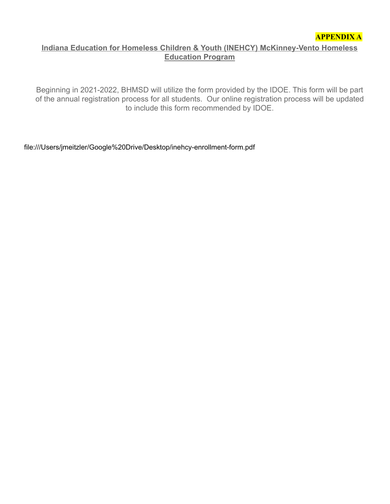#### **Indiana Education for Homeless Children & Youth (INEHCY) McKinney-Vento Homeless Education Program**

Beginning in 2021-2022, BHMSD will utilize the form provided by the IDOE. This form will be part of the annual registration process for all students. Our online registration process will be updated to include this form recommended by IDOE.

file:///Users/jmeitzler/Google%20Drive/Desktop/inehcy-enrollment-form.pdf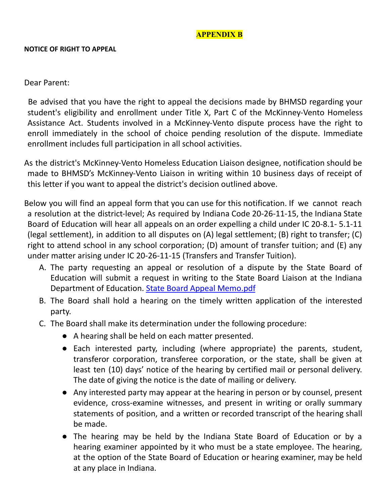## **APPENDIX B**

#### **NOTICE OF RIGHT TO APPEAL**

#### Dear Parent:

Be advised that you have the right to appeal the decisions made by BHMSD regarding your student's eligibility and enrollment under Title X, Part C of the McKinney-Vento Homeless Assistance Act. Students involved in a McKinney-Vento dispute process have the right to enroll immediately in the school of choice pending resolution of the dispute. Immediate enrollment includes full participation in all school activities.

As the district's McKinney-Vento Homeless Education Liaison designee, notification should be made to BHMSD's McKinney-Vento Liaison in writing within 10 business days of receipt of this letter if you want to appeal the district's decision outlined above.

Below you will find an appeal form that you can use for this notification. If we cannot reach a resolution at the district-level; As required by Indiana Code 20-26-11-15, the Indiana State Board of Education will hear all appeals on an order expelling a child under IC 20-8.1- 5.1-11 (legal settlement), in addition to all disputes on (A) legal settlement; (B) right to transfer; (C) right to attend school in any school corporation; (D) amount of transfer tuition; and (E) any under matter arising under IC 20-26-11-15 (Transfers and Transfer Tuition).

- A. The party requesting an appeal or resolution of a dispute by the State Board of Education will submit a request in writing to the State Board Liaison at the Indiana Department of Education. State Board Appeal Memo.pdf
- B. The Board shall hold a hearing on the timely written application of the interested party.
- C. The Board shall make its determination under the following procedure:
	- A hearing shall be held on each matter presented.
	- Each interested party, including (where appropriate) the parents, student, transferor corporation, transferee corporation, or the state, shall be given at least ten (10) days' notice of the hearing by certified mail or personal delivery. The date of giving the notice is the date of mailing or delivery.
	- Any interested party may appear at the hearing in person or by counsel, present evidence, cross-examine witnesses, and present in writing or orally summary statements of position, and a written or recorded transcript of the hearing shall be made.
	- The hearing may be held by the Indiana State Board of Education or by a hearing examiner appointed by it who must be a state employee. The hearing, at the option of the State Board of Education or hearing examiner, may be held at any place in Indiana.